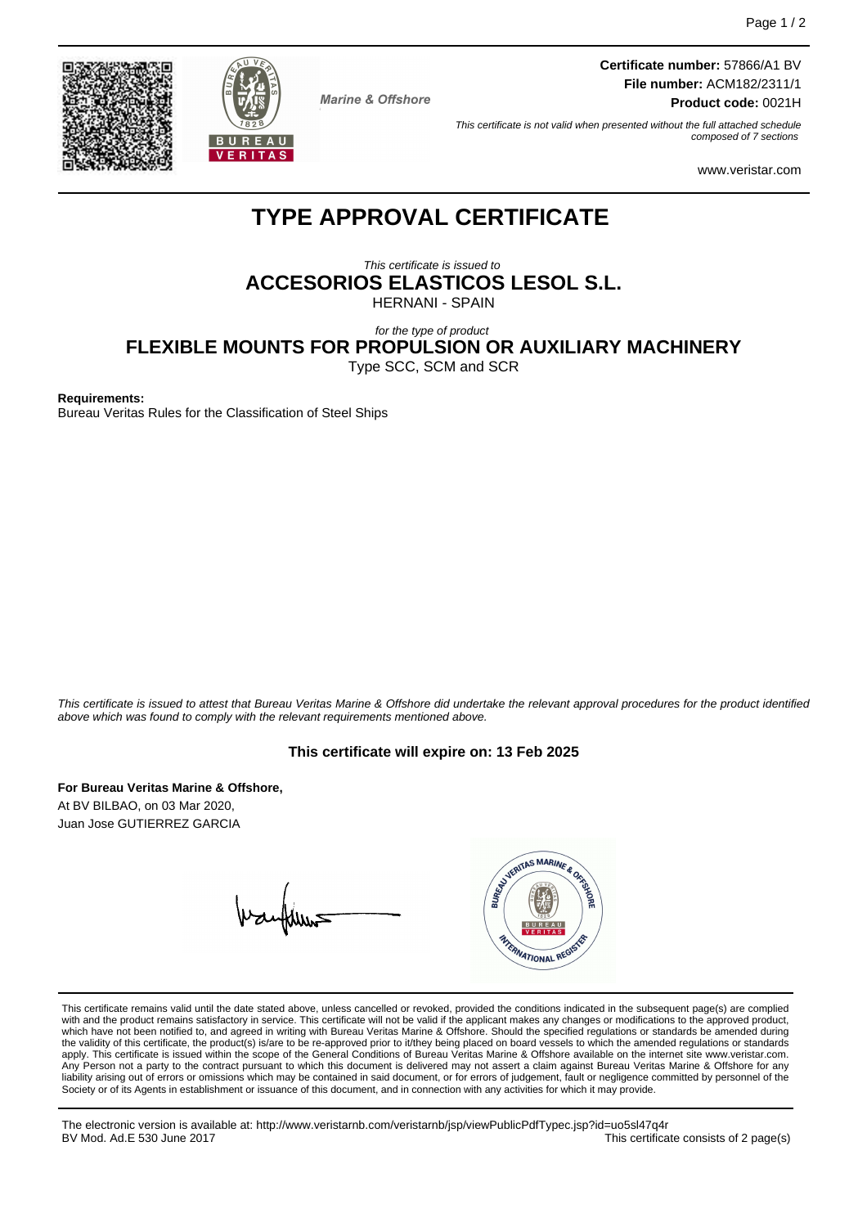



**Marine & Offshore** 

**Certificate number:** 57866/A1 BV **File number:** ACM182/2311/1 **Product code:** 0021H

This certificate is not valid when presented without the full attached schedule composed of 7 sections

www.veristar.com

# **TYPE APPROVAL CERTIFICATE**

This certificate is issued to **ACCESORIOS ELASTICOS LESOL S.L.**

HERNANI - SPAIN

for the type of product

**FLEXIBLE MOUNTS FOR PROPULSION OR AUXILIARY MACHINERY**

Type SCC, SCM and SCR

**Requirements:**

Bureau Veritas Rules for the Classification of Steel Ships

This certificate is issued to attest that Bureau Veritas Marine & Offshore did undertake the relevant approval procedures for the product identified above which was found to comply with the relevant requirements mentioned above.

#### **This certificate will expire on: 13 Feb 2025**

**For Bureau Veritas Marine & Offshore,** At BV BILBAO, on 03 Mar 2020, Juan Jose GUTIERREZ GARCIA

WARTAS MARINE & OR FRANATIONAL REGIS

This certificate remains valid until the date stated above, unless cancelled or revoked, provided the conditions indicated in the subsequent page(s) are complied with and the product remains satisfactory in service. This certificate will not be valid if the applicant makes any changes or modifications to the approved product, which have not been notified to, and agreed in writing with Bureau Veritas Marine & Offshore. Should the specified regulations or standards be amended during<br>the validity of this certificate, the product(s) is/are to be re apply. This certificate is issued within the scope of the General Conditions of Bureau Veritas Marine & Offshore available on the internet site www.veristar.com. Any Person not a party to the contract pursuant to which this document is delivered may not assert a claim against Bureau Veritas Marine & Offshore for any liability arising out of errors or omissions which may be contained in said document, or for errors of judgement, fault or negligence committed by personnel of the<br>Society or of its Agents in establishment or issuance of t

The electronic version is available at: http://www.veristarnb.com/veristarnb/jsp/viewPublicPdfTypec.jsp?id=uo5sl47q4r This certificate consists of 2 page(s)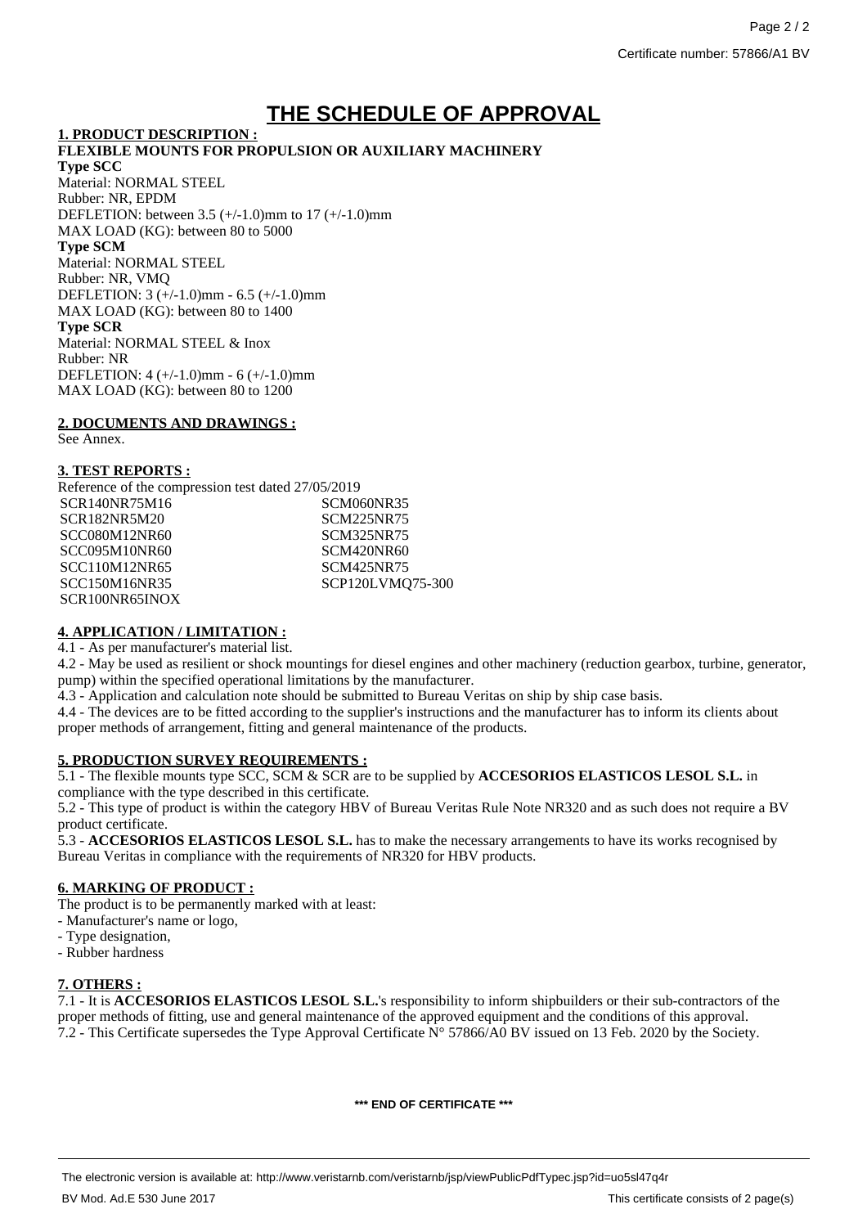# **THE SCHEDULE OF APPROVAL**

#### **1. PRODUCT DESCRIPTION :**

#### **FLEXIBLE MOUNTS FOR PROPULSION OR AUXILIARY MACHINERY Type SCC** Material: NORMAL STEEL Rubber: NR, EPDM DEFLETION: between 3.5 (+/-1.0)mm to 17 (+/-1.0)mm MAX LOAD (KG): between 80 to 5000 **Type SCM** Material: NORMAL STEEL Rubber: NR, VMQ DEFLETION: 3 (+/-1.0)mm - 6.5 (+/-1.0)mm MAX LOAD (KG): between 80 to 1400 **Type SCR** Material: NORMAL STEEL & Inox Rubber: NR DEFLETION: 4 (+/-1.0)mm - 6 (+/-1.0)mm

#### **2. DOCUMENTS AND DRAWINGS :**

MAX LOAD (KG): between 80 to 1200

See Annex.

### **3. TEST REPORTS :**

| Reference of the compression test dated 27/05/2019 |                   |
|----------------------------------------------------|-------------------|
| SCR140NR75M16                                      | SCM060NR35        |
| SCR182NR5M20                                       | SCM225NR75        |
| SCC080M12NR60                                      | SCM325NR75        |
| SCC095M10NR60                                      | <b>SCM420NR60</b> |
| SCC110M12NR65                                      | SCM425NR75        |
| <b>SCC150M16NR35</b>                               | SCP120LVMQ75-300  |
| SCR100NR65INOX                                     |                   |
|                                                    |                   |

## **4. APPLICATION / LIMITATION :**

4.1 - As per manufacturer's material list.

4.2 - May be used as resilient or shock mountings for diesel engines and other machinery (reduction gearbox, turbine, generator, pump) within the specified operational limitations by the manufacturer.

4.3 - Application and calculation note should be submitted to Bureau Veritas on ship by ship case basis.

4.4 - The devices are to be fitted according to the supplier's instructions and the manufacturer has to inform its clients about proper methods of arrangement, fitting and general maintenance of the products.

## **5. PRODUCTION SURVEY REQUIREMENTS :**

5.1 - The flexible mounts type SCC, SCM & SCR are to be supplied by **ACCESORIOS ELASTICOS LESOL S.L.** in compliance with the type described in this certificate.

5.2 - This type of product is within the category HBV of Bureau Veritas Rule Note NR320 and as such does not require a BV product certificate.

5.3 - **ACCESORIOS ELASTICOS LESOL S.L.** has to make the necessary arrangements to have its works recognised by Bureau Veritas in compliance with the requirements of NR320 for HBV products.

## **6. MARKING OF PRODUCT :**

The product is to be permanently marked with at least:

- Manufacturer's name or logo,
- Type designation,
- Rubber hardness

# **7. OTHERS :**

7.1 - It is **ACCESORIOS ELASTICOS LESOL S.L.**'s responsibility to inform shipbuilders or their sub-contractors of the proper methods of fitting, use and general maintenance of the approved equipment and the conditions of this approval. 7.2 - This Certificate supersedes the Type Approval Certificate N° 57866/A0 BV issued on 13 Feb. 2020 by the Society.

**\*\*\* END OF CERTIFICATE \*\*\***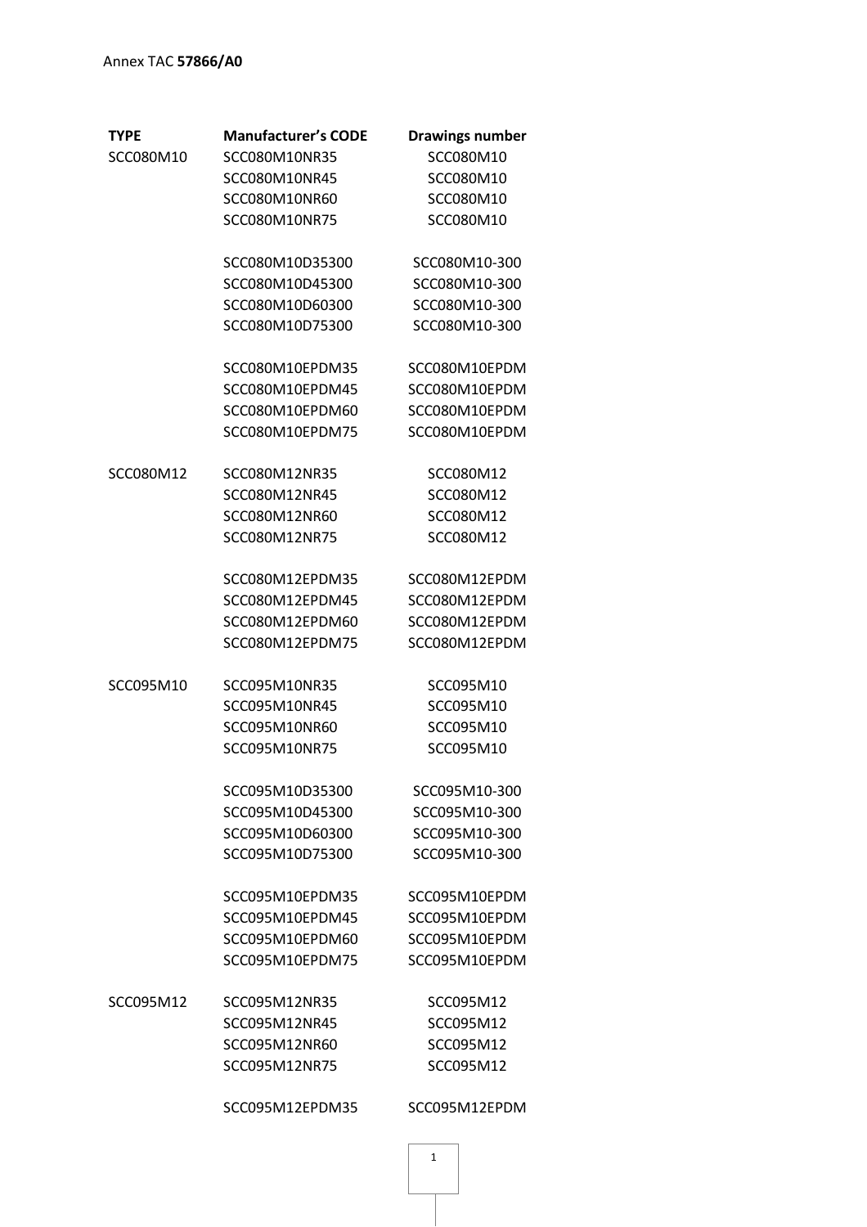| TYPE             | <b>Manufacturer's CODE</b> | <b>Drawings number</b> |
|------------------|----------------------------|------------------------|
| SCC080M10        | SCC080M10NR35              | SCC080M10              |
|                  | SCC080M10NR45              | SCC080M10              |
|                  | SCC080M10NR60              | SCC080M10              |
|                  | SCC080M10NR75              | SCC080M10              |
|                  | SCC080M10D35300            | SCC080M10-300          |
|                  | SCC080M10D45300            | SCC080M10-300          |
|                  | SCC080M10D60300            | SCC080M10-300          |
|                  | SCC080M10D75300            | SCC080M10-300          |
|                  | SCC080M10EPDM35            | SCC080M10EPDM          |
|                  | SCC080M10EPDM45            | SCC080M10EPDM          |
|                  | SCC080M10EPDM60            | SCC080M10EPDM          |
|                  | SCC080M10EPDM75            | SCC080M10EPDM          |
| <b>SCC080M12</b> | SCC080M12NR35              | SCC080M12              |
|                  | SCC080M12NR45              | SCC080M12              |
|                  | SCC080M12NR60              | SCC080M12              |
|                  | SCC080M12NR75              | SCC080M12              |
|                  | SCC080M12EPDM35            | SCC080M12EPDM          |
|                  | SCC080M12EPDM45            | SCC080M12EPDM          |
|                  | SCC080M12EPDM60            | SCC080M12EPDM          |
|                  | SCC080M12EPDM75            | SCC080M12EPDM          |
| SCC095M10        | SCC095M10NR35              | SCC095M10              |
|                  | SCC095M10NR45              | SCC095M10              |
|                  | SCC095M10NR60              | SCC095M10              |
|                  | SCC095M10NR75              | SCC095M10              |
|                  | SCC095M10D35300            | SCC095M10-300          |
|                  | SCC095M10D45300            | SCC095M10-300          |
|                  | SCC095M10D60300            | SCC095M10-300          |
|                  | SCC095M10D75300            | SCC095M10-300          |
|                  | SCC095M10EPDM35            | SCC095M10EPDM          |
|                  | SCC095M10EPDM45            | SCC095M10EPDM          |
|                  | SCC095M10EPDM60            | SCC095M10EPDM          |
|                  | SCC095M10EPDM75            | SCC095M10EPDM          |
| SCC095M12        | SCC095M12NR35              | SCC095M12              |
|                  | SCC095M12NR45              | SCC095M12              |
|                  | SCC095M12NR60              | SCC095M12              |
|                  | SCC095M12NR75              | SCC095M12              |
|                  | SCC095M12EPDM35            | SCC095M12EPDM          |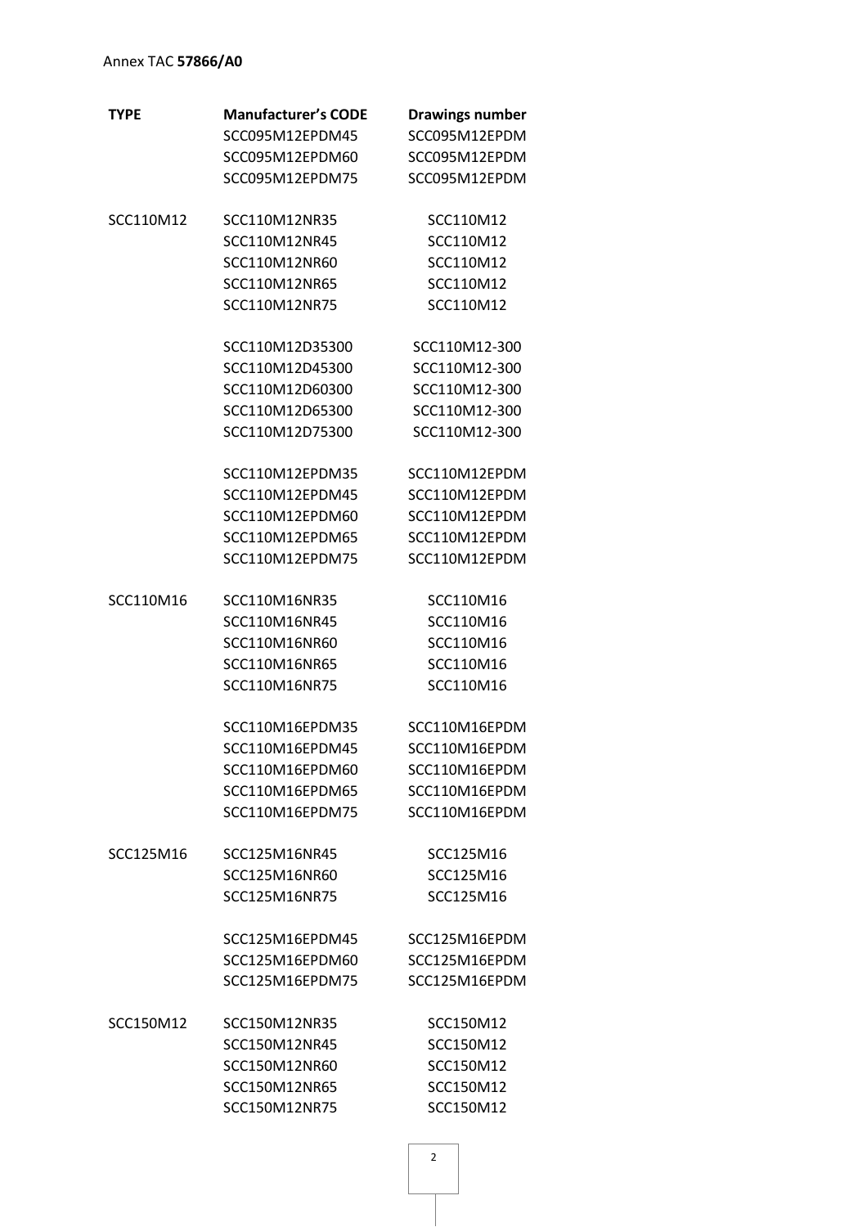# Annex TAC **57866/A0**

| <b>TYPE</b> | <b>Manufacturer's CODE</b> | <b>Drawings number</b> |
|-------------|----------------------------|------------------------|
|             | SCC095M12EPDM45            | SCC095M12EPDM          |
|             | SCC095M12EPDM60            | SCC095M12EPDM          |
|             | SCC095M12EPDM75            | SCC095M12EPDM          |
|             |                            |                        |
| SCC110M12   | SCC110M12NR35              | SCC110M12              |
|             | SCC110M12NR45              | SCC110M12              |
|             | SCC110M12NR60              | SCC110M12              |
|             | SCC110M12NR65              | SCC110M12              |
|             | SCC110M12NR75              | SCC110M12              |
|             | SCC110M12D35300            | SCC110M12-300          |
|             | SCC110M12D45300            | SCC110M12-300          |
|             | SCC110M12D60300            | SCC110M12-300          |
|             | SCC110M12D65300            | SCC110M12-300          |
|             | SCC110M12D75300            | SCC110M12-300          |
|             |                            |                        |
|             | SCC110M12EPDM35            | SCC110M12EPDM          |
|             | SCC110M12EPDM45            | SCC110M12EPDM          |
|             | SCC110M12EPDM60            | SCC110M12EPDM          |
|             | SCC110M12EPDM65            | SCC110M12EPDM          |
|             | SCC110M12EPDM75            | SCC110M12EPDM          |
| SCC110M16   | SCC110M16NR35              | SCC110M16              |
|             | SCC110M16NR45              | SCC110M16              |
|             | SCC110M16NR60              | SCC110M16              |
|             | SCC110M16NR65              | SCC110M16              |
|             | SCC110M16NR75              | SCC110M16              |
|             |                            |                        |
|             | SCC110M16EPDM35            | SCC110M16EPDM          |
|             | SCC110M16EPDM45            | SCC110M16EPDM          |
|             | SCC110M16EPDM60            | SCC110M16EPDM          |
|             | SCC110M16EPDM65            | SCC110M16EPDM          |
|             | SCC110M16EPDM75            | SCC110M16EPDM          |
| SCC125M16   | SCC125M16NR45              | SCC125M16              |
|             | SCC125M16NR60              | SCC125M16              |
|             | SCC125M16NR75              | SCC125M16              |
|             |                            |                        |
|             | SCC125M16EPDM45            | SCC125M16EPDM          |
|             | SCC125M16EPDM60            | SCC125M16EPDM          |
|             | SCC125M16EPDM75            | SCC125M16EPDM          |
| SCC150M12   | SCC150M12NR35              | SCC150M12              |
|             | SCC150M12NR45              | SCC150M12              |
|             | SCC150M12NR60              | SCC150M12              |
|             | SCC150M12NR65              | SCC150M12              |
|             | SCC150M12NR75              | SCC150M12              |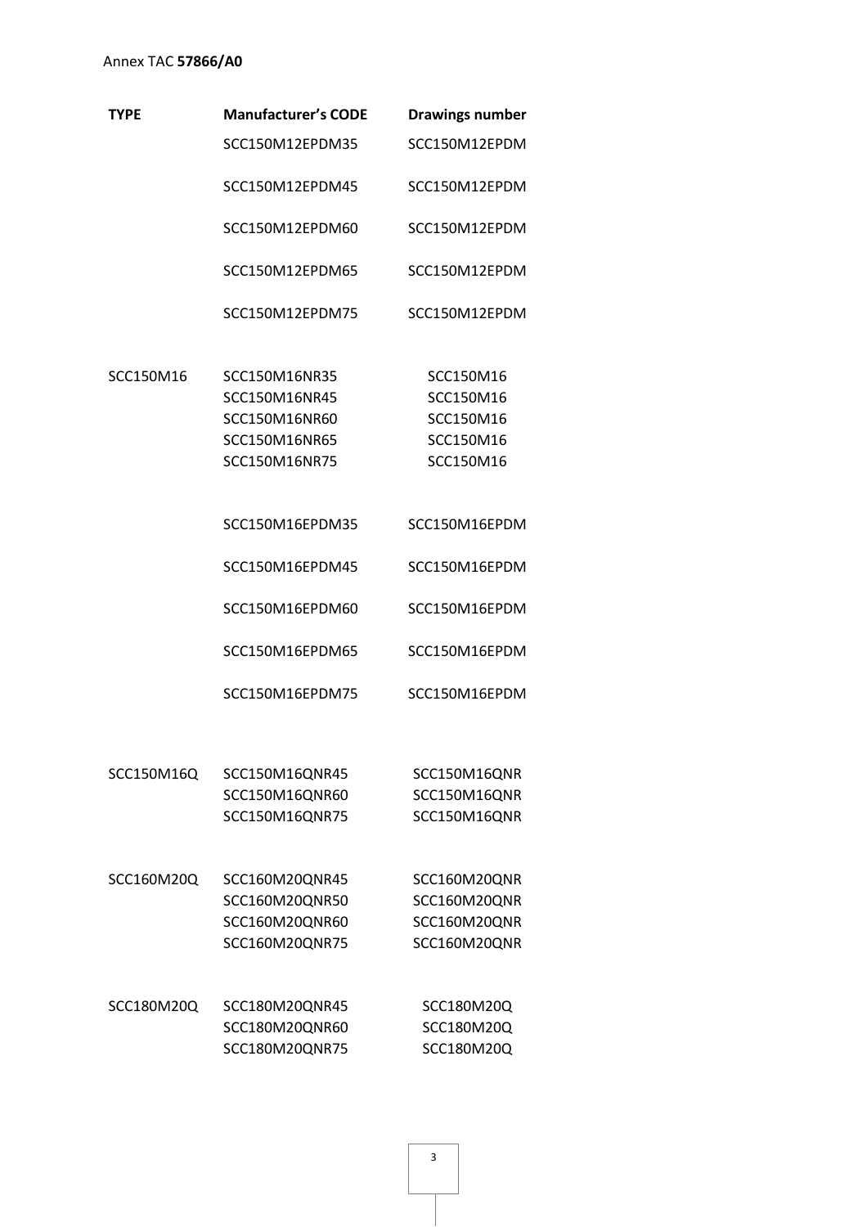# Annex TAC **57866/A0**

| TYPE       | <b>Manufacturer's CODE</b> | <b>Drawings number</b> |
|------------|----------------------------|------------------------|
|            | SCC150M12EPDM35            | SCC150M12EPDM          |
|            | SCC150M12EPDM45            | SCC150M12EPDM          |
|            | SCC150M12EPDM60            | SCC150M12EPDM          |
|            | SCC150M12EPDM65            | SCC150M12EPDM          |
|            | SCC150M12EPDM75            | SCC150M12EPDM          |
| SCC150M16  | SCC150M16NR35              | SCC150M16              |
|            | SCC150M16NR45              | SCC150M16              |
|            | SCC150M16NR60              | SCC150M16              |
|            | SCC150M16NR65              | SCC150M16              |
|            | SCC150M16NR75              | SCC150M16              |
|            | SCC150M16EPDM35            | SCC150M16EPDM          |
|            | SCC150M16EPDM45            | SCC150M16EPDM          |
|            | SCC150M16EPDM60            | SCC150M16EPDM          |
|            | SCC150M16EPDM65            | SCC150M16EPDM          |
|            | SCC150M16EPDM75            | SCC150M16EPDM          |
|            |                            |                        |
| SCC150M16Q | SCC150M16QNR45             | SCC150M16QNR           |
|            | SCC150M16QNR60             | SCC150M16QNR           |
|            | SCC150M16QNR75             | SCC150M16QNR           |
| SCC160M20Q | SCC160M20QNR45             | SCC160M20QNR           |
|            | SCC160M20QNR50             | SCC160M20QNR           |
|            | SCC160M20QNR60             | SCC160M20QNR           |
|            | SCC160M20QNR75             | SCC160M20QNR           |
| SCC180M20Q | SCC180M20QNR45             | SCC180M20Q             |
|            | SCC180M20QNR60             | SCC180M20Q             |
|            | SCC180M20QNR75             | SCC180M20Q             |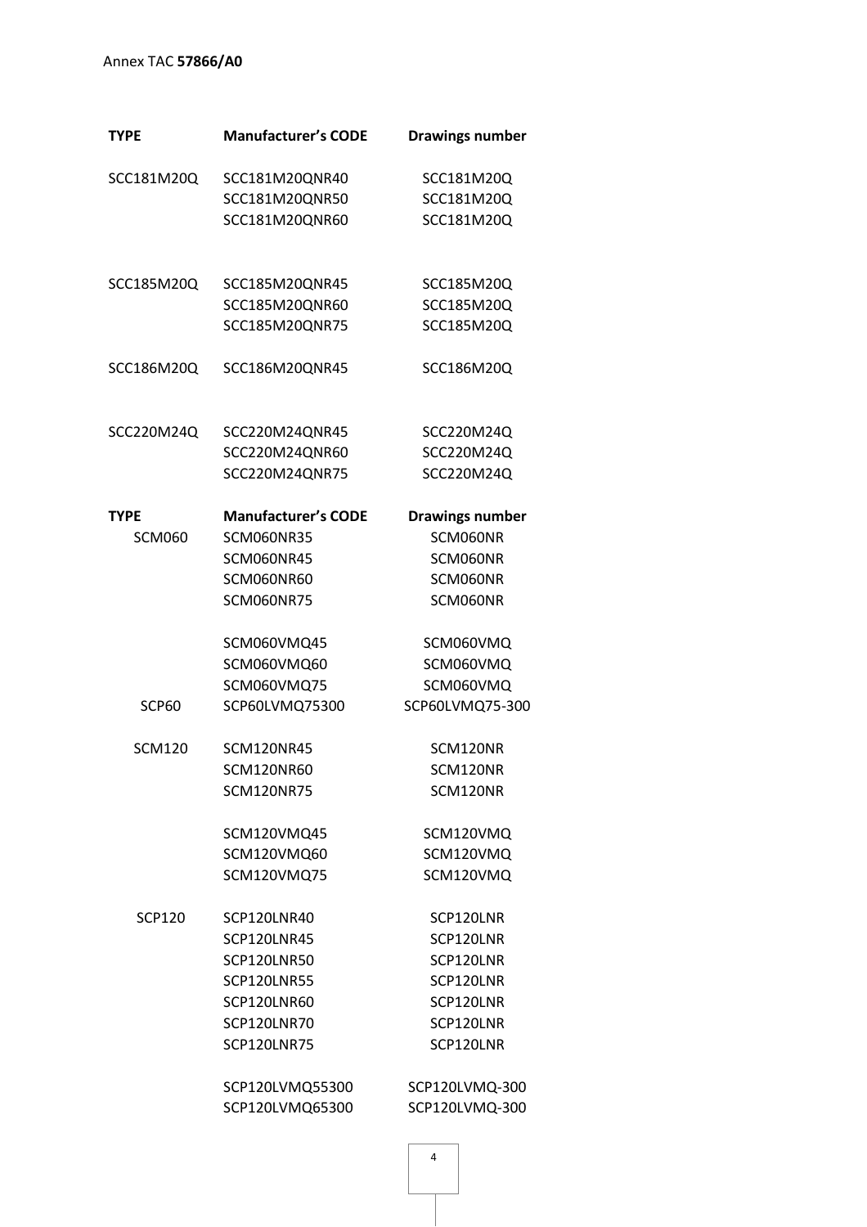# Annex TAC **57866/A0**

| <b>TYPE</b>   | <b>Manufacturer's CODE</b> | <b>Drawings number</b> |
|---------------|----------------------------|------------------------|
| SCC181M20Q    | SCC181M20QNR40             | SCC181M20Q             |
|               | SCC181M20QNR50             | SCC181M20Q             |
|               | SCC181M20QNR60             | SCC181M20Q             |
|               |                            |                        |
| SCC185M20Q    | SCC185M20QNR45             | SCC185M20Q             |
|               | SCC185M20QNR60             | SCC185M20Q             |
|               | SCC185M20QNR75             | SCC185M20Q             |
| SCC186M20Q    | SCC186M20QNR45             | SCC186M20Q             |
| SCC220M24Q    | SCC220M24QNR45             | SCC220M24Q             |
|               | SCC220M24QNR60             | SCC220M24Q             |
|               | SCC220M24QNR75             | SCC220M24Q             |
| <b>TYPE</b>   | <b>Manufacturer's CODE</b> | <b>Drawings number</b> |
| <b>SCM060</b> | SCM060NR35                 | SCM060NR               |
|               | <b>SCM060NR45</b>          | SCM060NR               |
|               | SCM060NR60                 | SCM060NR               |
|               | <b>SCM060NR75</b>          | SCM060NR               |
|               | SCM060VMQ45                | SCM060VMQ              |
|               | SCM060VMQ60                | SCM060VMQ              |
|               | SCM060VMQ75                | SCM060VMQ              |
| <b>SCP60</b>  | SCP60LVMQ75300             | SCP60LVMQ75-300        |
| <b>SCM120</b> | <b>SCM120NR45</b>          | SCM120NR               |
|               | <b>SCM120NR60</b>          | SCM120NR               |
|               | <b>SCM120NR75</b>          | SCM120NR               |
|               | SCM120VMQ45                | SCM120VMQ              |
|               | SCM120VMQ60                | SCM120VMQ              |
|               | SCM120VMQ75                | SCM120VMQ              |
| <b>SCP120</b> | SCP120LNR40                | SCP120LNR              |
|               | SCP120LNR45                | SCP120LNR              |
|               | SCP120LNR50                | SCP120LNR              |
|               | SCP120LNR55                | SCP120LNR              |
|               | SCP120LNR60                | SCP120LNR              |
|               | SCP120LNR70                | SCP120LNR              |
|               | <b>SCP120LNR75</b>         | SCP120LNR              |
|               | SCP120LVMQ55300            | SCP120LVMQ-300         |
|               | SCP120LVMQ65300            | SCP120LVMQ-300         |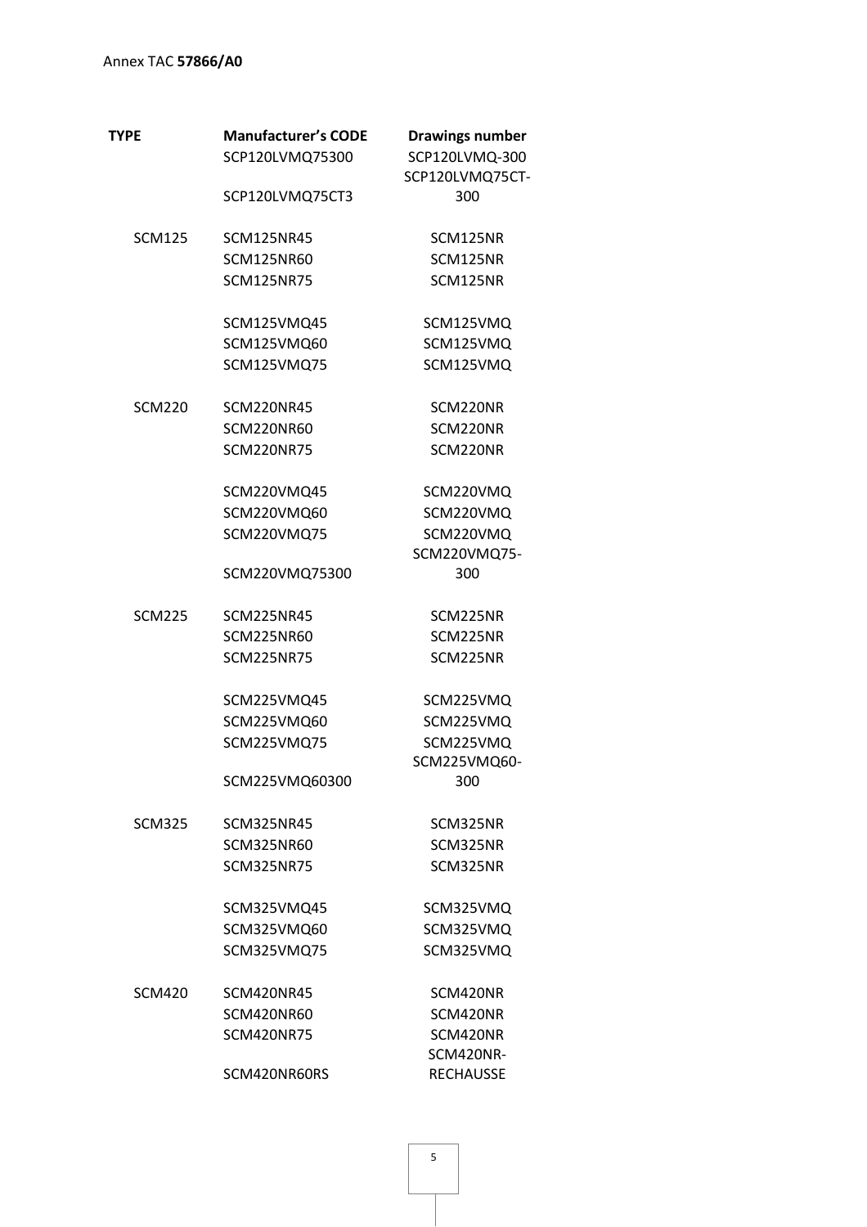| TYPE          | <b>Manufacturer's CODE</b> | <b>Drawings number</b> |
|---------------|----------------------------|------------------------|
|               | SCP120LVMQ75300            | SCP120LVMQ-300         |
|               |                            | SCP120LVMQ75CT-        |
|               | SCP120LVMQ75CT3            | 300                    |
| <b>SCM125</b> | <b>SCM125NR45</b>          | SCM125NR               |
|               | <b>SCM125NR60</b>          | SCM125NR               |
|               | <b>SCM125NR75</b>          | SCM125NR               |
|               | SCM125VMQ45                | SCM125VMQ              |
|               | SCM125VMQ60                | SCM125VMQ              |
|               | SCM125VMQ75                | SCM125VMQ              |
| <b>SCM220</b> | <b>SCM220NR45</b>          | SCM220NR               |
|               | <b>SCM220NR60</b>          | SCM220NR               |
|               | <b>SCM220NR75</b>          | SCM220NR               |
|               | SCM220VMQ45                | SCM220VMQ              |
|               | SCM220VMQ60                | SCM220VMQ              |
|               | SCM220VMQ75                | SCM220VMQ              |
|               |                            | SCM220VMQ75-           |
|               | SCM220VMQ75300             | 300                    |
| <b>SCM225</b> | <b>SCM225NR45</b>          | SCM225NR               |
|               | <b>SCM225NR60</b>          | SCM225NR               |
|               | <b>SCM225NR75</b>          | SCM225NR               |
|               | SCM225VMQ45                | SCM225VMQ              |
|               | SCM225VMQ60                | SCM225VMQ              |
|               | SCM225VMQ75                | SCM225VMQ              |
|               |                            | SCM225VMQ60-           |
|               | SCM225VMQ60300             | 300                    |
| <b>SCM325</b> | <b>SCM325NR45</b>          | SCM325NR               |
|               | <b>SCM325NR60</b>          | SCM325NR               |
|               | <b>SCM325NR75</b>          | SCM325NR               |
|               | SCM325VMQ45                | SCM325VMQ              |
|               | SCM325VMQ60                | SCM325VMQ              |
|               | SCM325VMQ75                | SCM325VMQ              |
| <b>SCM420</b> | <b>SCM420NR45</b>          | SCM420NR               |
|               | <b>SCM420NR60</b>          | SCM420NR               |
|               | <b>SCM420NR75</b>          | SCM420NR               |
|               |                            | SCM420NR-              |
|               | SCM420NR60RS               | <b>RECHAUSSE</b>       |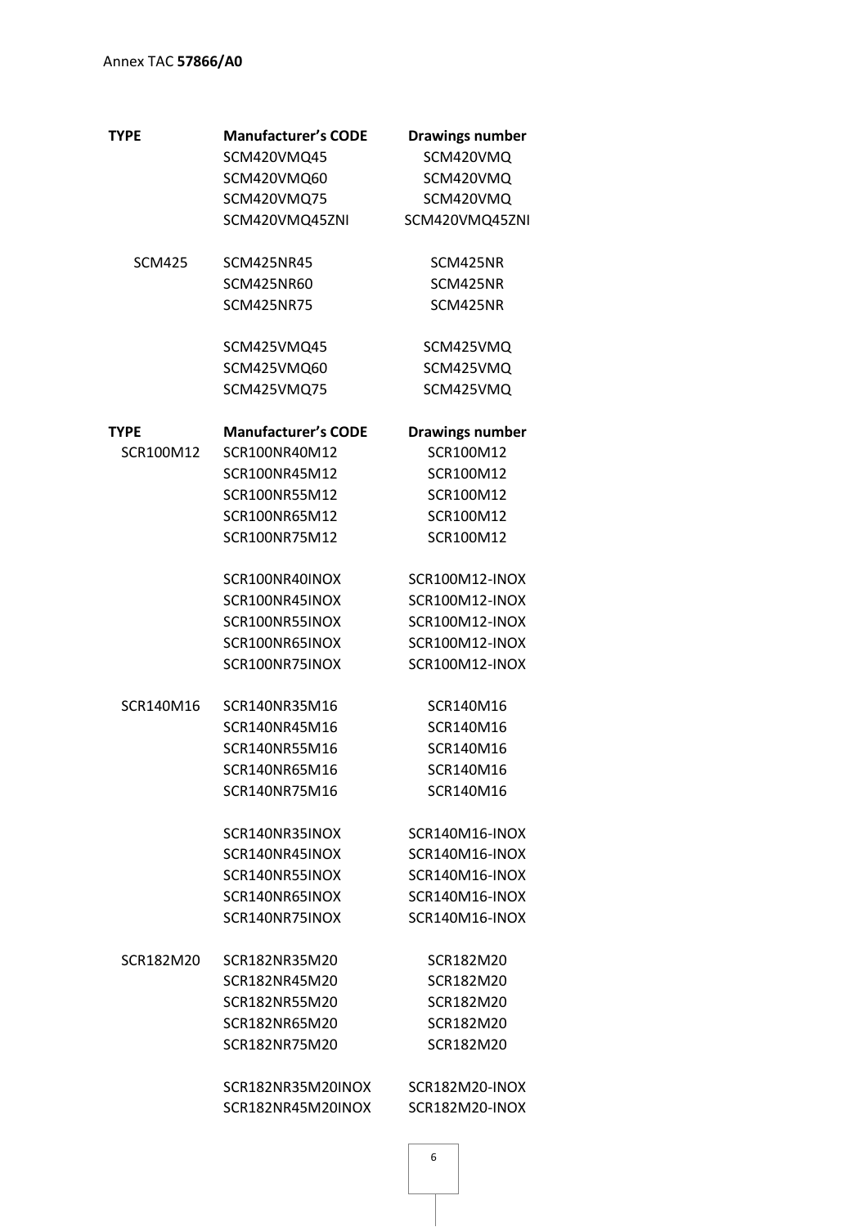| <b>TYPE</b>   | <b>Manufacturer's CODE</b> | <b>Drawings number</b> |
|---------------|----------------------------|------------------------|
|               | SCM420VMQ45                | SCM420VMQ              |
|               | SCM420VMQ60                | SCM420VMQ              |
|               | SCM420VMQ75                | SCM420VMQ              |
|               | SCM420VMQ45ZNI             | SCM420VMQ45ZNI         |
| <b>SCM425</b> | <b>SCM425NR45</b>          | SCM425NR               |
|               | SCM425NR60                 | SCM425NR               |
|               | <b>SCM425NR75</b>          | SCM425NR               |
|               | SCM425VMQ45                | SCM425VMQ              |
|               | SCM425VMQ60                | SCM425VMQ              |
|               | SCM425VMQ75                | SCM425VMQ              |
| TYPE          | <b>Manufacturer's CODE</b> | <b>Drawings number</b> |
| SCR100M12     | SCR100NR40M12              | SCR100M12              |
|               | SCR100NR45M12              | SCR100M12              |
|               | SCR100NR55M12              | SCR100M12              |
|               | SCR100NR65M12              | SCR100M12              |
|               | SCR100NR75M12              | SCR100M12              |
|               | SCR100NR40INOX             | SCR100M12-INOX         |
|               | SCR100NR45INOX             | SCR100M12-INOX         |
|               | SCR100NR55INOX             | SCR100M12-INOX         |
|               | SCR100NR65INOX             | SCR100M12-INOX         |
|               | SCR100NR75INOX             | SCR100M12-INOX         |
| SCR140M16     | SCR140NR35M16              | SCR140M16              |
|               | SCR140NR45M16              | SCR140M16              |
|               | SCR140NR55M16              | SCR140M16              |
|               | SCR140NR65M16              | SCR140M16              |
|               | SCR140NR75M16              | SCR140M16              |
|               | SCR140NR35INOX             | SCR140M16-INOX         |
|               | SCR140NR45INOX             | SCR140M16-INOX         |
|               | SCR140NR55INOX             | SCR140M16-INOX         |
|               | SCR140NR65INOX             | SCR140M16-INOX         |
|               | SCR140NR75INOX             | SCR140M16-INOX         |
| SCR182M20     | SCR182NR35M20              | SCR182M20              |
|               | SCR182NR45M20              | SCR182M20              |
|               | SCR182NR55M20              | SCR182M20              |
|               | SCR182NR65M20              | SCR182M20              |
|               | SCR182NR75M20              | SCR182M20              |
|               | SCR182NR35M20INOX          | SCR182M20-INOX         |
|               | SCR182NR45M20INOX          | SCR182M20-INOX         |